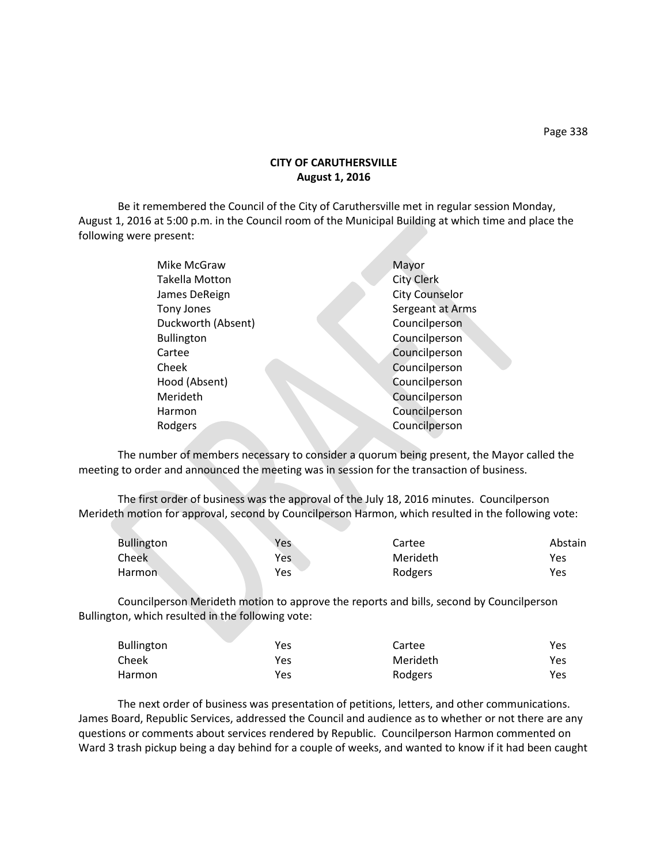## **CITY OF CARUTHERSVILLE August 1, 2016**

Be it remembered the Council of the City of Caruthersville met in regular session Monday, August 1, 2016 at 5:00 p.m. in the Council room of the Municipal Building at which time and place the following were present:

| Mike McGraw           | Mayor                 |
|-----------------------|-----------------------|
| <b>Takella Motton</b> | <b>City Clerk</b>     |
| James DeReign         | <b>City Counselor</b> |
| <b>Tony Jones</b>     | Sergeant at Arms      |
| Duckworth (Absent)    | Councilperson         |
| <b>Bullington</b>     | Councilperson         |
| Cartee                | Councilperson         |
| Cheek                 | Councilperson         |
| Hood (Absent)         | Councilperson         |
| Merideth              | Councilperson         |
| Harmon                | Councilperson         |
| Rodgers               | Councilperson         |
|                       |                       |

The number of members necessary to consider a quorum being present, the Mayor called the meeting to order and announced the meeting was in session for the transaction of business.

The first order of business was the approval of the July 18, 2016 minutes. Councilperson Merideth motion for approval, second by Councilperson Harmon, which resulted in the following vote:

| <b>Bullington</b> | Yes | Cartee   | Abstain |
|-------------------|-----|----------|---------|
| <b>Cheek</b>      | Yes | Merideth | Yes     |
| <b>Harmon</b>     | Yes | Rodgers  | Yes     |

Councilperson Merideth motion to approve the reports and bills, second by Councilperson Bullington, which resulted in the following vote:

| Bullington | Yes | Cartee   | Yes        |
|------------|-----|----------|------------|
| Cheek      | Yes | Merideth | <b>Yes</b> |
| Harmon     | Yes | Rodgers  | Yes        |

The next order of business was presentation of petitions, letters, and other communications. James Board, Republic Services, addressed the Council and audience as to whether or not there are any questions or comments about services rendered by Republic. Councilperson Harmon commented on Ward 3 trash pickup being a day behind for a couple of weeks, and wanted to know if it had been caught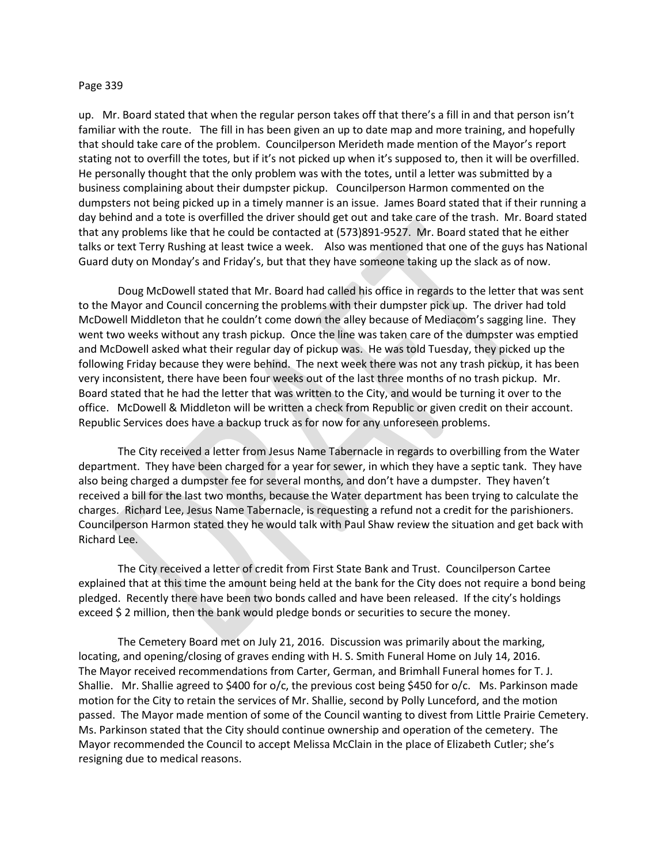## Page 339

up. Mr. Board stated that when the regular person takes off that there's a fill in and that person isn't familiar with the route. The fill in has been given an up to date map and more training, and hopefully that should take care of the problem. Councilperson Merideth made mention of the Mayor's report stating not to overfill the totes, but if it's not picked up when it's supposed to, then it will be overfilled. He personally thought that the only problem was with the totes, until a letter was submitted by a business complaining about their dumpster pickup. Councilperson Harmon commented on the dumpsters not being picked up in a timely manner is an issue. James Board stated that if their running a day behind and a tote is overfilled the driver should get out and take care of the trash. Mr. Board stated that any problems like that he could be contacted at (573)891-9527. Mr. Board stated that he either talks or text Terry Rushing at least twice a week. Also was mentioned that one of the guys has National Guard duty on Monday's and Friday's, but that they have someone taking up the slack as of now.

Doug McDowell stated that Mr. Board had called his office in regards to the letter that was sent to the Mayor and Council concerning the problems with their dumpster pick up. The driver had told McDowell Middleton that he couldn't come down the alley because of Mediacom's sagging line. They went two weeks without any trash pickup. Once the line was taken care of the dumpster was emptied and McDowell asked what their regular day of pickup was. He was told Tuesday, they picked up the following Friday because they were behind. The next week there was not any trash pickup, it has been very inconsistent, there have been four weeks out of the last three months of no trash pickup. Mr. Board stated that he had the letter that was written to the City, and would be turning it over to the office. McDowell & Middleton will be written a check from Republic or given credit on their account. Republic Services does have a backup truck as for now for any unforeseen problems.

The City received a letter from Jesus Name Tabernacle in regards to overbilling from the Water department. They have been charged for a year for sewer, in which they have a septic tank. They have also being charged a dumpster fee for several months, and don't have a dumpster. They haven't received a bill for the last two months, because the Water department has been trying to calculate the charges. Richard Lee, Jesus Name Tabernacle, is requesting a refund not a credit for the parishioners. Councilperson Harmon stated they he would talk with Paul Shaw review the situation and get back with Richard Lee.

The City received a letter of credit from First State Bank and Trust. Councilperson Cartee explained that at this time the amount being held at the bank for the City does not require a bond being pledged. Recently there have been two bonds called and have been released. If the city's holdings exceed \$ 2 million, then the bank would pledge bonds or securities to secure the money.

The Cemetery Board met on July 21, 2016. Discussion was primarily about the marking, locating, and opening/closing of graves ending with H. S. Smith Funeral Home on July 14, 2016. The Mayor received recommendations from Carter, German, and Brimhall Funeral homes for T. J. Shallie. Mr. Shallie agreed to \$400 for o/c, the previous cost being \$450 for o/c. Ms. Parkinson made motion for the City to retain the services of Mr. Shallie, second by Polly Lunceford, and the motion passed. The Mayor made mention of some of the Council wanting to divest from Little Prairie Cemetery. Ms. Parkinson stated that the City should continue ownership and operation of the cemetery. The Mayor recommended the Council to accept Melissa McClain in the place of Elizabeth Cutler; she's resigning due to medical reasons.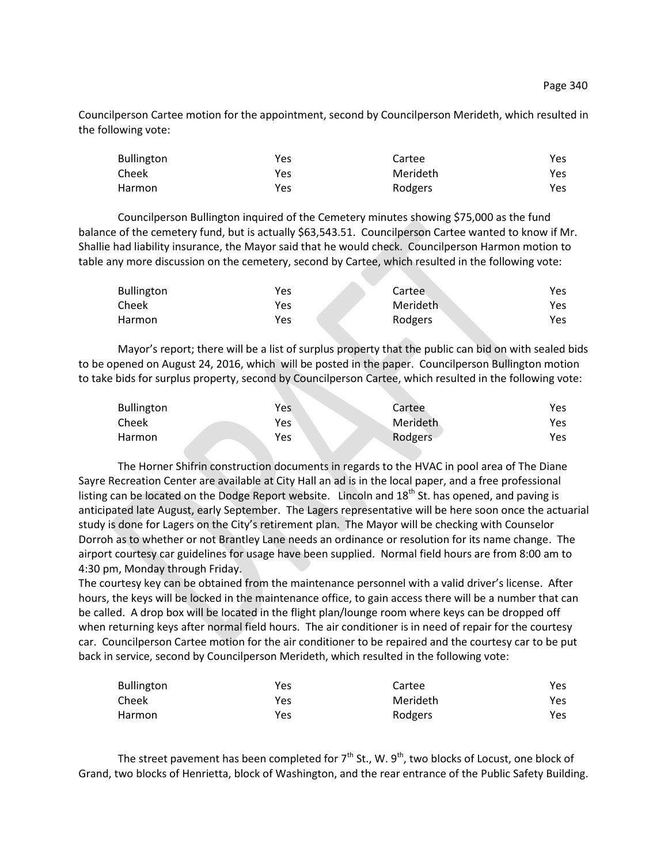Councilperson Cartee motion for the appointment, second by Councilperson Merideth, which resulted in the following vote:

| <b>Bullington</b> | Yes | Cartee   | <b>Yes</b> |
|-------------------|-----|----------|------------|
| Cheek             | Yes | Merideth | Yes        |
| Harmon            | Yes | Rodgers  | Yes        |

Councilperson Bullington inquired of the Cemetery minutes showing \$75,000 as the fund balance of the cemetery fund, but is actually \$63,543.51. Councilperson Cartee wanted to know if Mr. Shallie had liability insurance, the Mayor said that he would check. Councilperson Harmon motion to table any more discussion on the cemetery, second by Cartee, which resulted in the following vote:

| <b>Bullington</b> | Yes | Cartee    | Yes |
|-------------------|-----|-----------|-----|
| Cheek             | Yes | Merideth. | Yes |
| Harmon            | Yes | Rodgers   | Yes |

Mayor's report; there will be a list of surplus property that the public can bid on with sealed bids to be opened on August 24, 2016, which will be posted in the paper. Councilperson Bullington motion to take bids for surplus property, second by Councilperson Cartee, which resulted in the following vote:

| <b>Bullington</b> | Yes        | Cartee   | Yes |
|-------------------|------------|----------|-----|
| Cheek             | <b>Yes</b> | Merideth | Yes |
| Harmon            | Yes        | Rodgers  | Yes |

The Horner Shifrin construction documents in regards to the HVAC in pool area of The Diane Sayre Recreation Center are available at City Hall an ad is in the local paper, and a free professional listing can be located on the Dodge Report website. Lincoln and 18<sup>th</sup> St. has opened, and paving is anticipated late August, early September. The Lagers representative will be here soon once the actuarial study is done for Lagers on the City's retirement plan. The Mayor will be checking with Counselor Dorroh as to whether or not Brantley Lane needs an ordinance or resolution for its name change. The airport courtesy car guidelines for usage have been supplied. Normal field hours are from 8:00 am to 4:30 pm, Monday through Friday.

The courtesy key can be obtained from the maintenance personnel with a valid driver's license. After hours, the keys will be locked in the maintenance office, to gain access there will be a number that can be called. A drop box will be located in the flight plan/lounge room where keys can be dropped off when returning keys after normal field hours. The air conditioner is in need of repair for the courtesy car. Councilperson Cartee motion for the air conditioner to be repaired and the courtesy car to be put back in service, second by Councilperson Merideth, which resulted in the following vote:

| <b>Bullington</b> | Yes | Cartee   | Yes. |
|-------------------|-----|----------|------|
| Cheek             | Yes | Merideth | Yes. |
| Harmon            | Yes | Rodgers  | Yes. |

The street pavement has been completed for  $7<sup>th</sup>$  St., W. 9<sup>th</sup>, two blocks of Locust, one block of Grand, two blocks of Henrietta, block of Washington, and the rear entrance of the Public Safety Building.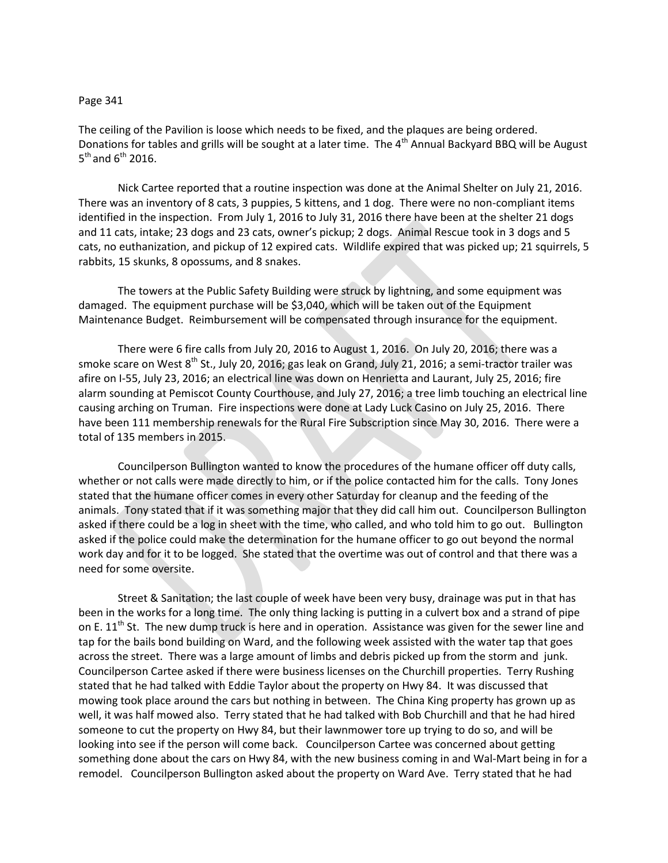## Page 341

The ceiling of the Pavilion is loose which needs to be fixed, and the plaques are being ordered. Donations for tables and grills will be sought at a later time. The 4<sup>th</sup> Annual Backyard BBQ will be August  $5^{\text{th}}$  and  $6^{\text{th}}$  2016.

Nick Cartee reported that a routine inspection was done at the Animal Shelter on July 21, 2016. There was an inventory of 8 cats, 3 puppies, 5 kittens, and 1 dog. There were no non-compliant items identified in the inspection. From July 1, 2016 to July 31, 2016 there have been at the shelter 21 dogs and 11 cats, intake; 23 dogs and 23 cats, owner's pickup; 2 dogs. Animal Rescue took in 3 dogs and 5 cats, no euthanization, and pickup of 12 expired cats. Wildlife expired that was picked up; 21 squirrels, 5 rabbits, 15 skunks, 8 opossums, and 8 snakes.

The towers at the Public Safety Building were struck by lightning, and some equipment was damaged. The equipment purchase will be \$3,040, which will be taken out of the Equipment Maintenance Budget. Reimbursement will be compensated through insurance for the equipment.

There were 6 fire calls from July 20, 2016 to August 1, 2016. On July 20, 2016; there was a smoke scare on West 8<sup>th</sup> St., July 20, 2016; gas leak on Grand, July 21, 2016; a semi-tractor trailer was afire on I-55, July 23, 2016; an electrical line was down on Henrietta and Laurant, July 25, 2016; fire alarm sounding at Pemiscot County Courthouse, and July 27, 2016; a tree limb touching an electrical line causing arching on Truman. Fire inspections were done at Lady Luck Casino on July 25, 2016. There have been 111 membership renewals for the Rural Fire Subscription since May 30, 2016. There were a total of 135 members in 2015.

Councilperson Bullington wanted to know the procedures of the humane officer off duty calls, whether or not calls were made directly to him, or if the police contacted him for the calls. Tony Jones stated that the humane officer comes in every other Saturday for cleanup and the feeding of the animals. Tony stated that if it was something major that they did call him out. Councilperson Bullington asked if there could be a log in sheet with the time, who called, and who told him to go out. Bullington asked if the police could make the determination for the humane officer to go out beyond the normal work day and for it to be logged. She stated that the overtime was out of control and that there was a need for some oversite.

Street & Sanitation; the last couple of week have been very busy, drainage was put in that has been in the works for a long time. The only thing lacking is putting in a culvert box and a strand of pipe on E.  $11<sup>th</sup>$  St. The new dump truck is here and in operation. Assistance was given for the sewer line and tap for the bails bond building on Ward, and the following week assisted with the water tap that goes across the street. There was a large amount of limbs and debris picked up from the storm and junk. Councilperson Cartee asked if there were business licenses on the Churchill properties. Terry Rushing stated that he had talked with Eddie Taylor about the property on Hwy 84. It was discussed that mowing took place around the cars but nothing in between. The China King property has grown up as well, it was half mowed also. Terry stated that he had talked with Bob Churchill and that he had hired someone to cut the property on Hwy 84, but their lawnmower tore up trying to do so, and will be looking into see if the person will come back. Councilperson Cartee was concerned about getting something done about the cars on Hwy 84, with the new business coming in and Wal-Mart being in for a remodel. Councilperson Bullington asked about the property on Ward Ave. Terry stated that he had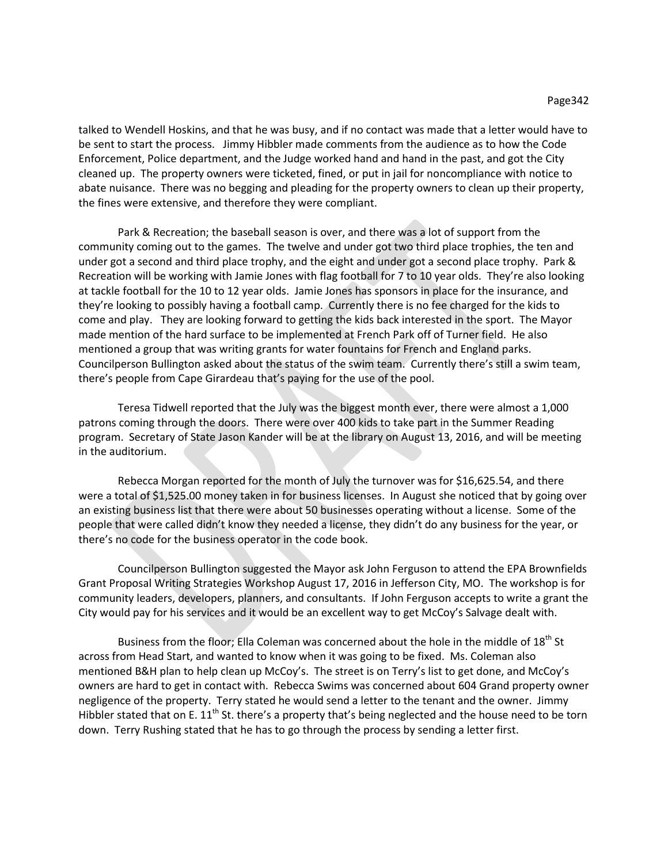talked to Wendell Hoskins, and that he was busy, and if no contact was made that a letter would have to be sent to start the process. Jimmy Hibbler made comments from the audience as to how the Code Enforcement, Police department, and the Judge worked hand and hand in the past, and got the City cleaned up. The property owners were ticketed, fined, or put in jail for noncompliance with notice to abate nuisance. There was no begging and pleading for the property owners to clean up their property, the fines were extensive, and therefore they were compliant.

Park & Recreation; the baseball season is over, and there was a lot of support from the community coming out to the games. The twelve and under got two third place trophies, the ten and under got a second and third place trophy, and the eight and under got a second place trophy. Park & Recreation will be working with Jamie Jones with flag football for 7 to 10 year olds. They're also looking at tackle football for the 10 to 12 year olds. Jamie Jones has sponsors in place for the insurance, and they're looking to possibly having a football camp. Currently there is no fee charged for the kids to come and play. They are looking forward to getting the kids back interested in the sport. The Mayor made mention of the hard surface to be implemented at French Park off of Turner field. He also mentioned a group that was writing grants for water fountains for French and England parks. Councilperson Bullington asked about the status of the swim team. Currently there's still a swim team, there's people from Cape Girardeau that's paying for the use of the pool.

Teresa Tidwell reported that the July was the biggest month ever, there were almost a 1,000 patrons coming through the doors. There were over 400 kids to take part in the Summer Reading program. Secretary of State Jason Kander will be at the library on August 13, 2016, and will be meeting in the auditorium.

Rebecca Morgan reported for the month of July the turnover was for \$16,625.54, and there were a total of \$1,525.00 money taken in for business licenses. In August she noticed that by going over an existing business list that there were about 50 businesses operating without a license. Some of the people that were called didn't know they needed a license, they didn't do any business for the year, or there's no code for the business operator in the code book.

Councilperson Bullington suggested the Mayor ask John Ferguson to attend the EPA Brownfields Grant Proposal Writing Strategies Workshop August 17, 2016 in Jefferson City, MO. The workshop is for community leaders, developers, planners, and consultants. If John Ferguson accepts to write a grant the City would pay for his services and it would be an excellent way to get McCoy's Salvage dealt with.

Business from the floor; Ella Coleman was concerned about the hole in the middle of 18<sup>th</sup> St across from Head Start, and wanted to know when it was going to be fixed. Ms. Coleman also mentioned B&H plan to help clean up McCoy's. The street is on Terry's list to get done, and McCoy's owners are hard to get in contact with. Rebecca Swims was concerned about 604 Grand property owner negligence of the property. Terry stated he would send a letter to the tenant and the owner. Jimmy Hibbler stated that on E.  $11<sup>th</sup>$  St. there's a property that's being neglected and the house need to be torn down. Terry Rushing stated that he has to go through the process by sending a letter first.